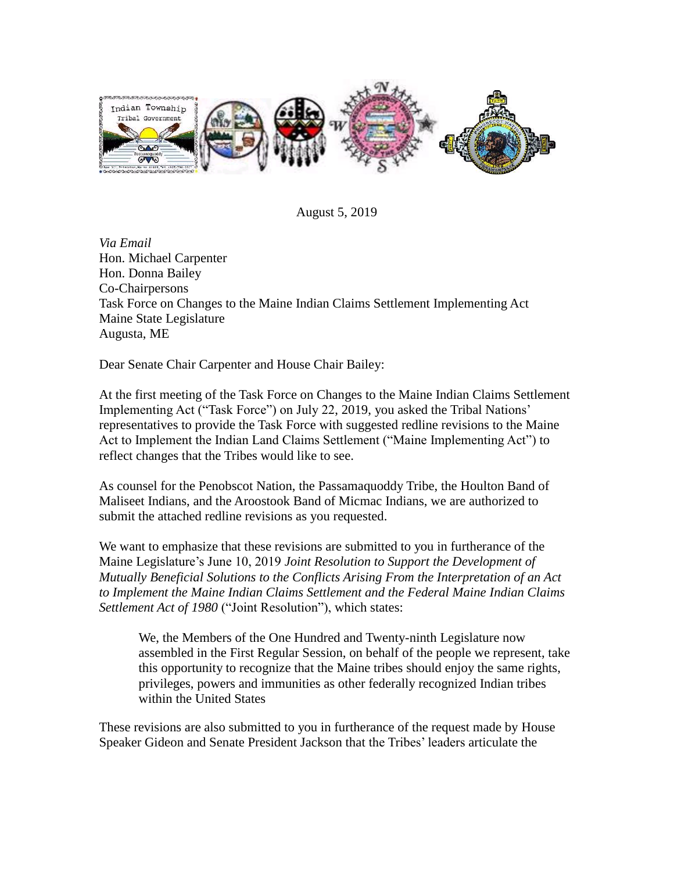

August 5, 2019

*Via Email* Hon. Michael Carpenter Hon. Donna Bailey Co-Chairpersons Task Force on Changes to the Maine Indian Claims Settlement Implementing Act Maine State Legislature Augusta, ME

Dear Senate Chair Carpenter and House Chair Bailey:

At the first meeting of the Task Force on Changes to the Maine Indian Claims Settlement Implementing Act ("Task Force") on July 22, 2019, you asked the Tribal Nations' representatives to provide the Task Force with suggested redline revisions to the Maine Act to Implement the Indian Land Claims Settlement ("Maine Implementing Act") to reflect changes that the Tribes would like to see.

As counsel for the Penobscot Nation, the Passamaquoddy Tribe, the Houlton Band of Maliseet Indians, and the Aroostook Band of Micmac Indians, we are authorized to submit the attached redline revisions as you requested.

We want to emphasize that these revisions are submitted to you in furtherance of the Maine Legislature's June 10, 2019 *Joint Resolution to Support the Development of Mutually Beneficial Solutions to the Conflicts Arising From the Interpretation of an Act to Implement the Maine Indian Claims Settlement and the Federal Maine Indian Claims Settlement Act of 1980* ("Joint Resolution"), which states:

We, the Members of the One Hundred and Twenty-ninth Legislature now assembled in the First Regular Session, on behalf of the people we represent, take this opportunity to recognize that the Maine tribes should enjoy the same rights, privileges, powers and immunities as other federally recognized Indian tribes within the United States

These revisions are also submitted to you in furtherance of the request made by House Speaker Gideon and Senate President Jackson that the Tribes' leaders articulate the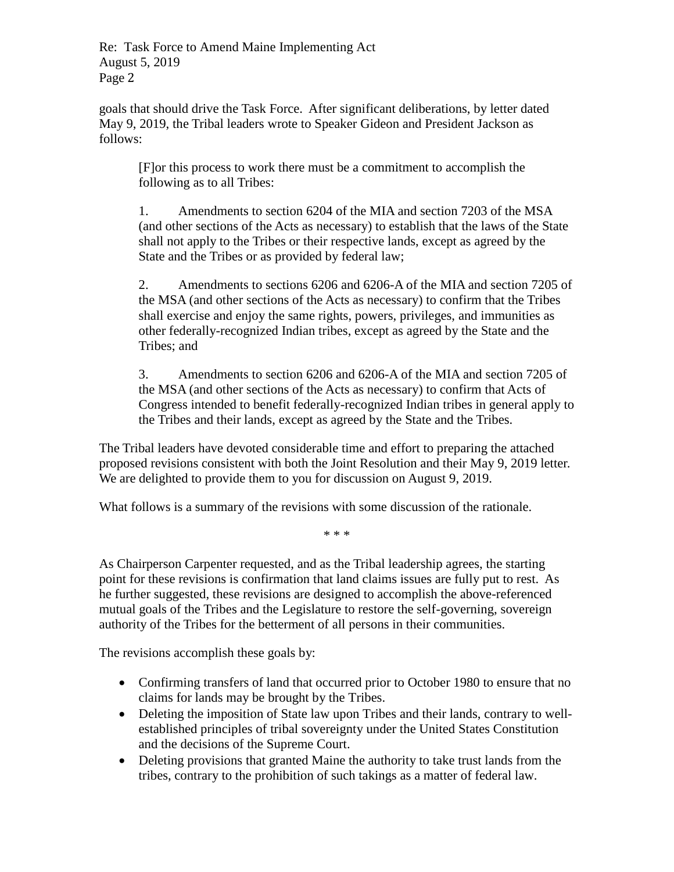Re: Task Force to Amend Maine Implementing Act August 5, 2019 Page 2

goals that should drive the Task Force. After significant deliberations, by letter dated May 9, 2019, the Tribal leaders wrote to Speaker Gideon and President Jackson as follows:

[F]or this process to work there must be a commitment to accomplish the following as to all Tribes:

1. Amendments to section 6204 of the MIA and section 7203 of the MSA (and other sections of the Acts as necessary) to establish that the laws of the State shall not apply to the Tribes or their respective lands, except as agreed by the State and the Tribes or as provided by federal law;

2. Amendments to sections 6206 and 6206-A of the MIA and section 7205 of the MSA (and other sections of the Acts as necessary) to confirm that the Tribes shall exercise and enjoy the same rights, powers, privileges, and immunities as other federally-recognized Indian tribes, except as agreed by the State and the Tribes; and

3. Amendments to section 6206 and 6206-A of the MIA and section 7205 of the MSA (and other sections of the Acts as necessary) to confirm that Acts of Congress intended to benefit federally-recognized Indian tribes in general apply to the Tribes and their lands, except as agreed by the State and the Tribes.

The Tribal leaders have devoted considerable time and effort to preparing the attached proposed revisions consistent with both the Joint Resolution and their May 9, 2019 letter. We are delighted to provide them to you for discussion on August 9, 2019.

What follows is a summary of the revisions with some discussion of the rationale.

\* \* \*

As Chairperson Carpenter requested, and as the Tribal leadership agrees, the starting point for these revisions is confirmation that land claims issues are fully put to rest. As he further suggested, these revisions are designed to accomplish the above-referenced mutual goals of the Tribes and the Legislature to restore the self-governing, sovereign authority of the Tribes for the betterment of all persons in their communities.

The revisions accomplish these goals by:

- Confirming transfers of land that occurred prior to October 1980 to ensure that no claims for lands may be brought by the Tribes.
- Deleting the imposition of State law upon Tribes and their lands, contrary to wellestablished principles of tribal sovereignty under the United States Constitution and the decisions of the Supreme Court.
- Deleting provisions that granted Maine the authority to take trust lands from the tribes, contrary to the prohibition of such takings as a matter of federal law.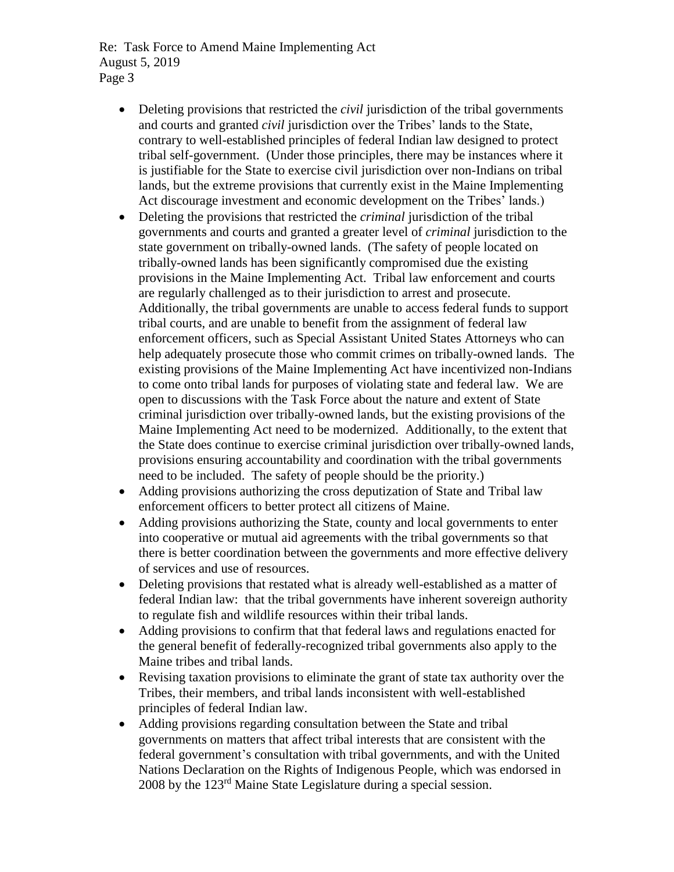Re: Task Force to Amend Maine Implementing Act August 5, 2019 Page 3

- Deleting provisions that restricted the *civil* jurisdiction of the tribal governments and courts and granted *civil* jurisdiction over the Tribes' lands to the State, contrary to well-established principles of federal Indian law designed to protect tribal self-government. (Under those principles, there may be instances where it is justifiable for the State to exercise civil jurisdiction over non-Indians on tribal lands, but the extreme provisions that currently exist in the Maine Implementing Act discourage investment and economic development on the Tribes' lands.)
- Deleting the provisions that restricted the *criminal* jurisdiction of the tribal governments and courts and granted a greater level of *criminal* jurisdiction to the state government on tribally-owned lands. (The safety of people located on tribally-owned lands has been significantly compromised due the existing provisions in the Maine Implementing Act. Tribal law enforcement and courts are regularly challenged as to their jurisdiction to arrest and prosecute. Additionally, the tribal governments are unable to access federal funds to support tribal courts, and are unable to benefit from the assignment of federal law enforcement officers, such as Special Assistant United States Attorneys who can help adequately prosecute those who commit crimes on tribally-owned lands. The existing provisions of the Maine Implementing Act have incentivized non-Indians to come onto tribal lands for purposes of violating state and federal law. We are open to discussions with the Task Force about the nature and extent of State criminal jurisdiction over tribally-owned lands, but the existing provisions of the Maine Implementing Act need to be modernized. Additionally, to the extent that the State does continue to exercise criminal jurisdiction over tribally-owned lands, provisions ensuring accountability and coordination with the tribal governments need to be included. The safety of people should be the priority.)
- Adding provisions authorizing the cross deputization of State and Tribal law enforcement officers to better protect all citizens of Maine.
- Adding provisions authorizing the State, county and local governments to enter into cooperative or mutual aid agreements with the tribal governments so that there is better coordination between the governments and more effective delivery of services and use of resources.
- Deleting provisions that restated what is already well-established as a matter of federal Indian law: that the tribal governments have inherent sovereign authority to regulate fish and wildlife resources within their tribal lands.
- Adding provisions to confirm that that federal laws and regulations enacted for the general benefit of federally-recognized tribal governments also apply to the Maine tribes and tribal lands.
- Revising taxation provisions to eliminate the grant of state tax authority over the Tribes, their members, and tribal lands inconsistent with well-established principles of federal Indian law.
- Adding provisions regarding consultation between the State and tribal governments on matters that affect tribal interests that are consistent with the federal government's consultation with tribal governments, and with the United Nations Declaration on the Rights of Indigenous People, which was endorsed in 2008 by the 123rd Maine State Legislature during a special session.